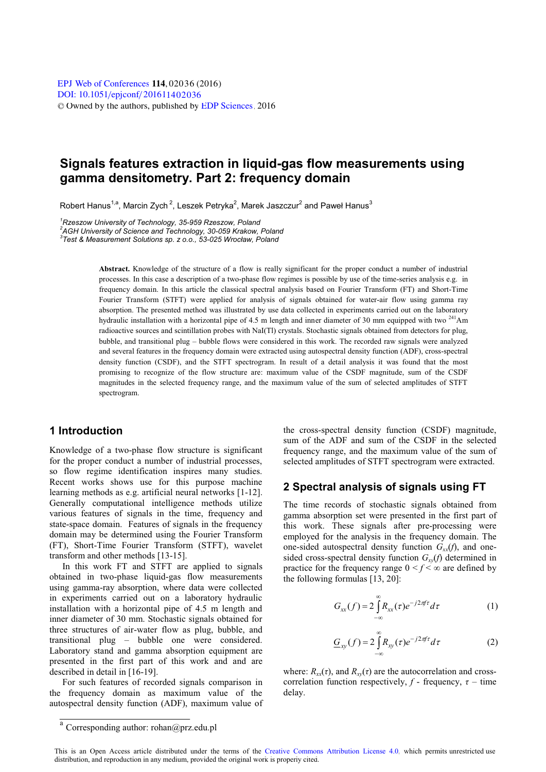# **Signals features extraction in liquid-gas flow measurements using gamma densitometry. Part 2: frequency domain**

Robert Hanus<sup>1,a</sup>, Marcin Zych<sup>2</sup>, Leszek Petryka<sup>2</sup>, Marek Jaszczur<sup>2</sup> and Paweł Hanus<sup>3</sup>

*1 Rzeszow University of Technology, 35-959 Rzeszow, Poland* 

*2 AGH University of Science and Technology, 30-059 Krakow, Poland 3 Test & Measurement Solutions sp. z o.o., 53-025 Wrocław, Poland* 

**Abstract.** Knowledge of the structure of a flow is really significant for the proper conduct a number of industrial processes. In this case a description of a two-phase flow regimes is possible by use of the time-series analysis e.g. in frequency domain. In this article the classical spectral analysis based on Fourier Transform (FT) and Short-Time Fourier Transform (STFT) were applied for analysis of signals obtained for water-air flow using gamma ray absorption. The presented method was illustrated by use data collected in experiments carried out on the laboratory hydraulic installation with a horizontal pipe of 4.5 m length and inner diameter of 30 mm equipped with two  $^{241}$ Am radioactive sources and scintillation probes with NaI(Tl) crystals. Stochastic signals obtained from detectors for plug, bubble, and transitional plug – bubble flows were considered in this work. The recorded raw signals were analyzed and several features in the frequency domain were extracted using autospectral density function (ADF), cross-spectral density function (CSDF), and the STFT spectrogram. In result of a detail analysis it was found that the most promising to recognize of the flow structure are: maximum value of the CSDF magnitude, sum of the CSDF magnitudes in the selected frequency range, and the maximum value of the sum of selected amplitudes of STFT spectrogram.

# **1 Introduction**

Knowledge of a two-phase flow structure is significant for the proper conduct a number of industrial processes, so flow regime identification inspires many studies. Recent works shows use for this purpose machine learning methods as e.g. artificial neural networks [1-12]. Generally computational intelligence methods utilize various features of signals in the time, frequency and state-space domain. Features of signals in the frequency domain may be determined using the Fourier Transform (FT), Short-Time Fourier Transform (STFT), wavelet transform and other methods [13-15].

In this work FT and STFT are applied to signals obtained in two-phase liquid-gas flow measurements using gamma-ray absorption, where data were collected in experiments carried out on a laboratory hydraulic installation with a horizontal pipe of 4.5 m length and inner diameter of 30 mm. Stochastic signals obtained for three structures of air-water flow as plug, bubble, and transitional plug – bubble one were considered. Laboratory stand and gamma absorption equipment are presented in the first part of this work and and are described in detail in [16-19].

For such features of recorded signals comparison in the frequency domain as maximum value of the autospectral density function (ADF), maximum value of the cross-spectral density function (CSDF) magnitude, sum of the ADF and sum of the CSDF in the selected frequency range, and the maximum value of the sum of selected amplitudes of STFT spectrogram were extracted.

## **2 Spectral analysis of signals using FT**

The time records of stochastic signals obtained from gamma absorption set were presented in the first part of this work. These signals after pre-processing were employed for the analysis in the frequency domain. The one-sided autospectral density function  $G_{xx}(f)$ , and onesided cross-spectral density function  $G_{xy}(f)$  determined in practice for the frequency range  $0 < f < \infty$  are defined by the following formulas [13, 20]:

$$
G_{xx}(f) = 2\int_{-\infty}^{\infty} R_{xx}(\tau)e^{-j2\pi f\tau}d\tau
$$
 (1)

$$
\underline{G}_{xy}(f) = 2 \int_{-\infty}^{\infty} R_{xy}(\tau) e^{-j2\pi f \tau} d\tau \tag{2}
$$

where:  $R_{xx}(\tau)$ , and  $R_{xy}(\tau)$  are the autocorrelation and crosscorrelation function respectively,  $f$  - frequency,  $\tau$  – time delay.

<sup>a</sup> Corresponding author: rohan@prz.edu.pl

This is an Open Access article distributed under the terms of the [Creative Commons Attribution License 4.0,](http://creativecommons.org/licenses/by/4.0) which permits unrestricted use distribution, and reproduction in any medium, provided the original work is properly cited.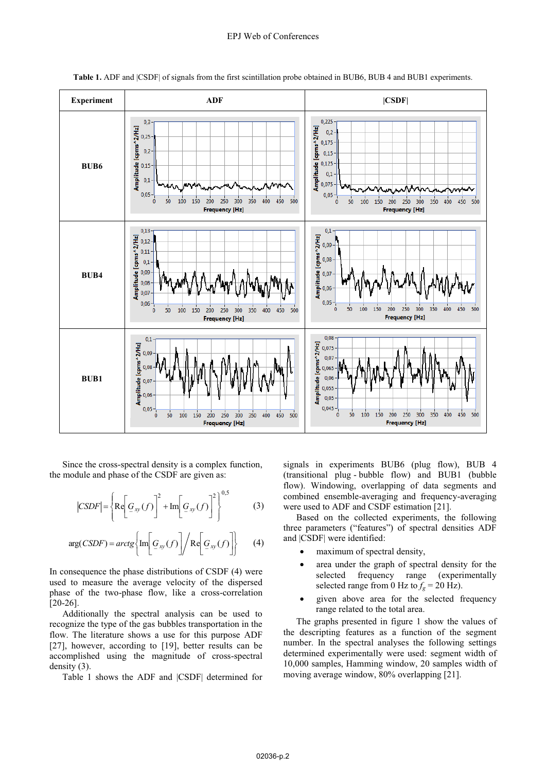

**Table 1.** ADF and |CSDF| of signals from the first scintillation probe obtained in BUB6, BUB 4 and BUB1 experiments.

 Since the cross-spectral density is a complex function, the module and phase of the CSDF are given as:

$$
|CSDF| = \left\{ \text{Re}\left[\mathcal{G}_{xy}(f)\right]^2 + \text{Im}\left[\mathcal{G}_{xy}(f)\right]^2 \right\}^{0,5}
$$
 (3)

$$
\arg(CSDF) = \arctg \left\{ \text{Im} \left[ G_{xy}(f) \right] / \text{Re} \left[ G_{xy}(f) \right] \right\} \tag{4}
$$

In consequence the phase distributions of CSDF (4) were used to measure the average velocity of the dispersed phase of the two-phase flow, like a cross-correlation [20-26].

Additionally the spectral analysis can be used to recognize the type of the gas bubbles transportation in the flow. The literature shows a use for this purpose ADF [27], however, according to [19], better results can be accomplished using the magnitude of cross-spectral density (3).

Table 1 shows the ADF and |CSDF| determined for

signals in experiments BUB6 (plug flow), BUB 4 (transitional plug - bubble flow) and BUB1 (bubble flow). Windowing, overlapping of data segments and combined ensemble-averaging and frequency-averaging were used to ADF and CSDF estimation [21].

Based on the collected experiments, the following three parameters ("features") of spectral densities ADF and |CSDF| were identified:

- maximum of spectral density,
- area under the graph of spectral density for the selected frequency range (experimentally selected range from 0 Hz to  $f_g = 20$  Hz).
- given above area for the selected frequency range related to the total area.

The graphs presented in figure 1 show the values of the descripting features as a function of the segment number. In the spectral analyses the following settings determined experimentally were used: segment width of 10,000 samples, Hamming window, 20 samples width of moving average window, 80% overlapping [21].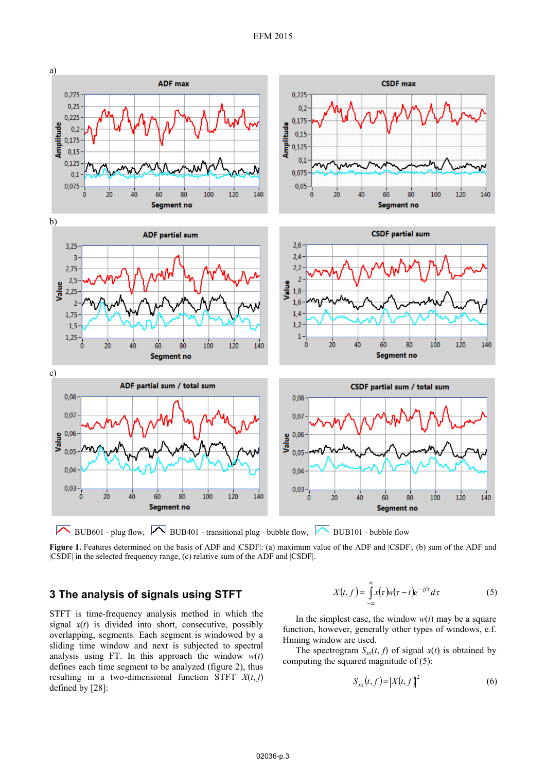

BUB601 - plug flow,  $\boxed{\frown}$  BUB401 - transitional plug - bubble flow,  $\boxed{\frown}$  BUB101 - bubble flow

Figure 1. Features determined on the basis of ADF and  $|CSDF|$ : (a) maximum value of the ADF and  $|CSDF|$ , (b) sum of the ADF and |CSDF| in the selected frequency range, (c) relative sum of the ADF and |CSDF|.

### **3 The analysis of signals using STFT**

STFT is time-frequency analysis method in which the signal  $x(t)$  is divided into short, consecutive, possibly overlapping, segments. Each segment is windowed by a sliding time window and next is subjected to spectral analysis using FT. In this approach the window  $w(t)$ defines each time segment to be analyzed (figure 2), thus resulting in a two-dimensional function STFT  $X(t, f)$ defined by [28]:

$$
X(t,f) = \int_{-\infty}^{\infty} x(\tau)w(\tau-t)e^{-j\tau}d\tau
$$
 (5)

In the simplest case, the window  $w(t)$  may be a square function, however, generally other types of windows, e.f. Hnning window are used.

The spectrogram  $S_{xx}(t, f)$  of signal  $x(t)$  is obtained by computing the squared magnitude of (5):

$$
S_{xx}(t,f) = |X(t,f)|^2 \tag{6}
$$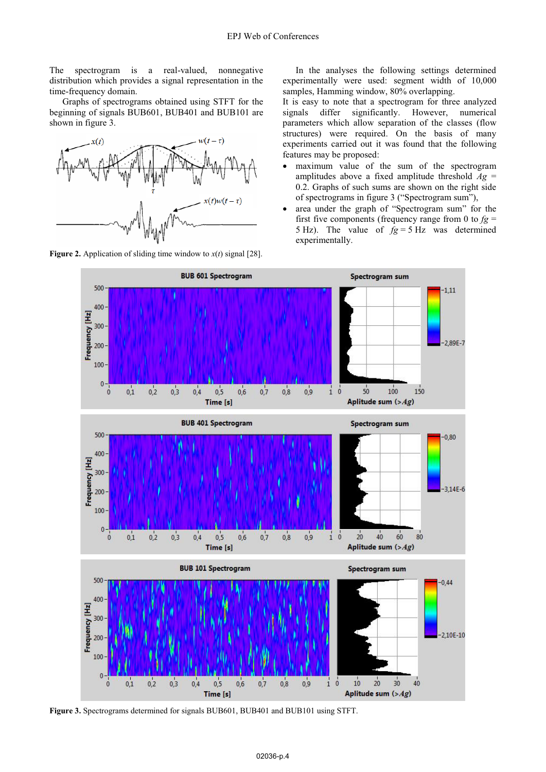The spectrogram is a real-valued, nonnegative distribution which provides a signal representation in the time-frequency domain.

Graphs of spectrograms obtained using STFT for the beginning of signals BUB601, BUB401 and BUB101 are shown in figure 3.



**Figure 2.** Application of sliding time window to  $x(t)$  signal [28].

In the analyses the following settings determined experimentally were used: segment width of 10,000 samples, Hamming window, 80% overlapping.

It is easy to note that a spectrogram for three analyzed signals differ significantly. However, numerical parameters which allow separation of the classes (flow structures) were required. On the basis of many experiments carried out it was found that the following features may be proposed:

- maximum value of the sum of the spectrogram amplitudes above a fixed amplitude threshold  $Ag =$ 0.2. Graphs of such sums are shown on the right side of spectrograms in figure 3 ("Spectrogram sum"),
- area under the graph of "Spectrogram sum" for the first five components (frequency range from 0 to  $fg =$ 5 Hz). The value of  $fg = 5$  Hz was determined experimentally.



**Figure 3.** Spectrograms determined for signals BUB601, BUB401 and BUB101 using STFT.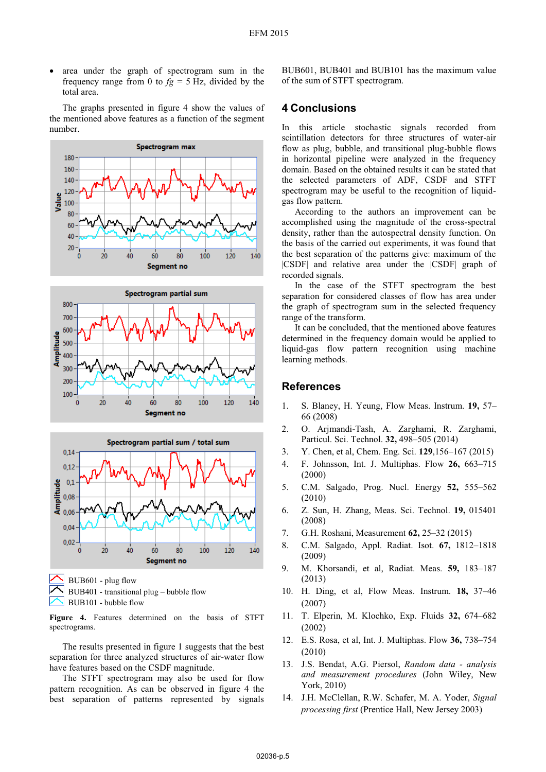area under the graph of spectrogram sum in the frequency range from 0 to  $f_g = 5$  Hz, divided by the total area.

 The graphs presented in figure 4 show the values of the mentioned above features as a function of the segment number.







BUB601 - plug flow BUB401 - transitional plug – bubble flow BUB101 - bubble flow

**Figure 4.** Features determined on the basis of STFT spectrograms.

The results presented in figure 1 suggests that the best separation for three analyzed structures of air-water flow have features based on the CSDF magnitude.

The STFT spectrogram may also be used for flow pattern recognition. As can be observed in figure 4 the best separation of patterns represented by signals

BUB601, BUB401 and BUB101 has the maximum value of the sum of STFT spectrogram.

#### **4 Conclusions**

In this article stochastic signals recorded from scintillation detectors for three structures of water-air flow as plug, bubble, and transitional plug-bubble flows in horizontal pipeline were analyzed in the frequency domain. Based on the obtained results it can be stated that the selected parameters of ADF, CSDF and STFT spectrogram may be useful to the recognition of liquidgas flow pattern.

According to the authors an improvement can be accomplished using the magnitude of the cross-spectral density, rather than the autospectral density function. On the basis of the carried out experiments, it was found that the best separation of the patterns give: maximum of the |CSDF| and relative area under the |CSDF| graph of recorded signals.

In the case of the STFT spectrogram the best separation for considered classes of flow has area under the graph of spectrogram sum in the selected frequency range of the transform.

It can be concluded, that the mentioned above features determined in the frequency domain would be applied to liquid-gas flow pattern recognition using machine learning methods.

#### **References**

- 1. S. Blaney, H. Yeung, Flow Meas. Instrum. **19,** <sup>57</sup> 66 (2008)
- 2. O. Arjmandi-Tash, A. Zarghami, R. Zarghami, Particul. Sci. Technol. **32,** <sup>498</sup>–505 (2014)
- 3. Y. Chen, et al, Chem. Eng. Sci. **129**,156–167 (2015)
- 4. F. Johnsson, Int. J. Multiphas. Flow **26,** <sup>663</sup>–<sup>715</sup> (2000)
- 5. C.M. Salgado, Prog. Nucl. Energy **52,** <sup>555</sup>–<sup>562</sup> (2010)
- 6. Z. Sun, H. Zhang, Meas. Sci. Technol. **19,**<sup>015401</sup> (2008)
- 7. G.H. Roshani, Measurement **62,** <sup>25</sup>–32 (2015)
- 8. C.M. Salgado, Appl. Radiat. Isot. **67,** <sup>1812</sup>–<sup>1818</sup> (2009)
- 9. M. Khorsandi, et al, Radiat. Meas. **59,** <sup>183</sup>–<sup>187</sup> (2013)
- 10. H. Ding, et al, Flow Meas. Instrum. **18,** <sup>37</sup>–<sup>46</sup> (2007)
- 11. T. Elperin, M. Klochko, Exp. Fluids **32,** <sup>674</sup>–<sup>682</sup> (2002)
- 12. E.S. Rosa, et al, Int. J. Multiphas. Flow **36,** <sup>738</sup>–<sup>754</sup> (2010)
- 13. J.S. Bendat, A.G. Piersol, *Random data analysis and measurement procedures* (John Wiley, New York, 2010)
- 14. J.H. McClellan, R.W. Schafer, M. A. Yoder, *Signal processing first* (Prentice Hall, New Jersey 2003)